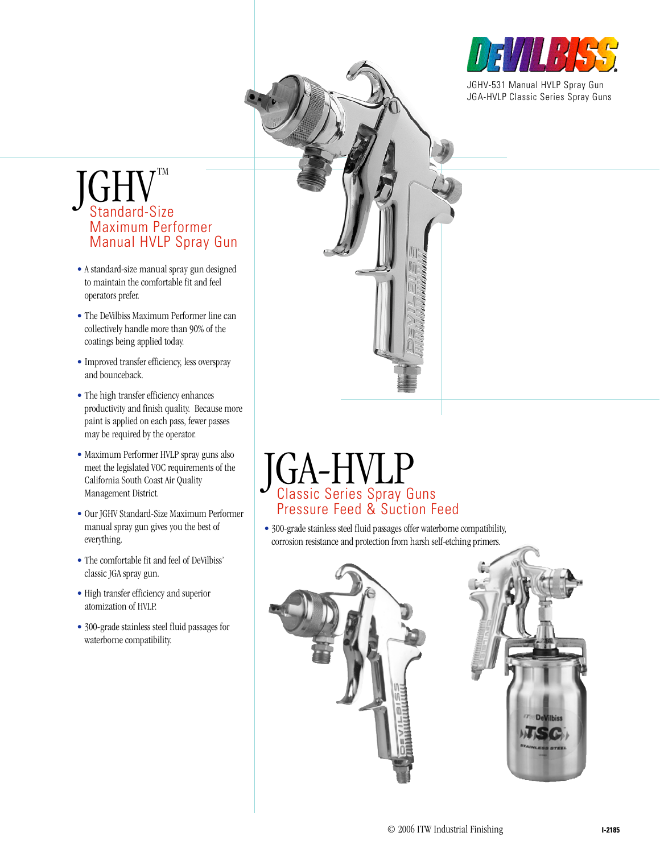

JGHV-531 Manual HVLP Spray Gun JGA-HVLP Classic Series Spray Guns

# $\int G H V^{\tiny \rm TM}$ Standard-Size  $7^{\text{TM}}$ Maximum Performer Manual HVLP Spray Gun

- A standard-size manual spray gun designed to maintain the comfortable fit and feel operators prefer.
- The DeVilbiss Maximum Performer line can collectively handle more than 90% of the coatings being applied today.
- Improved transfer efficiency, less overspray and bounceback.
- The high transfer efficiency enhances productivity and finish quality. Because more paint is applied on each pass, fewer passes may be required by the operator.
- Maximum Performer HVLP spray guns also meet the legislated VOC requirements of the California South Coast Air Quality Management District.
- Our JGHV Standard-Size Maximum Performer manual spray gun gives you the best of everything.
- The comfortable fit and feel of DeVilbiss' classic JGA spray gun.
- High transfer efficiency and superior atomization of HVLP.
- 300-grade stainless steel fluid passages for waterborne compatibility.

# JGA-HVLP Classic Series Spray Guns Pressure Feed & Suction Feed

• 300-grade stainless steel fluid passages offer waterborne compatibility, corrosion resistance and protection from harsh self-etching primers.

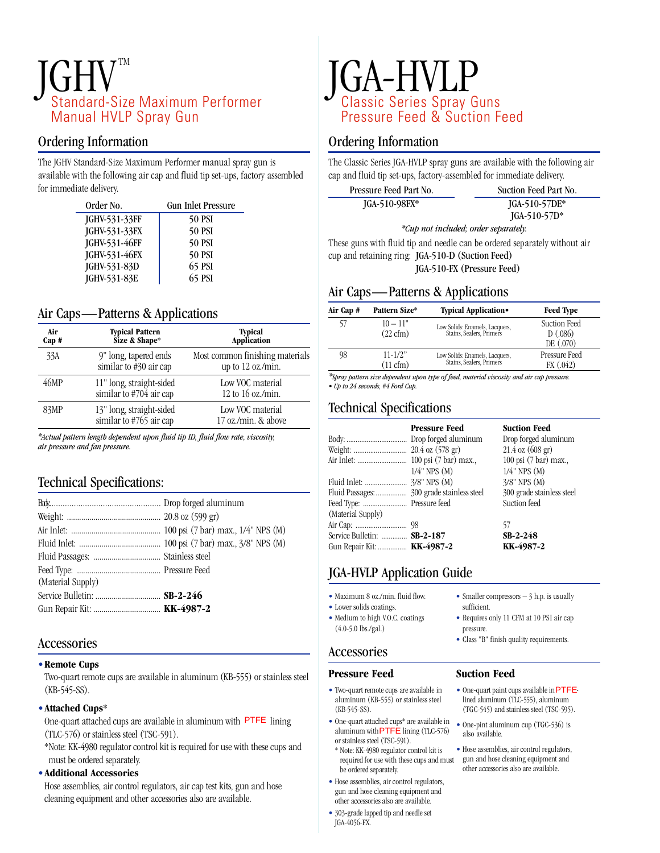# $JGHV^{\tiny TM}$ Standard-Size Maximum Performer TM Manual HVLP Spray Gun

## Ordering Information

The JGHV Standard-Size Maximum Performer manual spray gun is available with the following air cap and fluid tip set-ups, factory assembled for immediate delivery.

| Order No.     | <b>Gun Inlet Pressure</b> |
|---------------|---------------------------|
| JGHV-531-33FF | <b>50 PSI</b>             |
| JGHV-531-33FX | <b>50 PSI</b>             |
| JGHV-531-46FF | <b>50 PSI</b>             |
| JGHV-531-46FX | <b>50 PSI</b>             |
| JGHV-531-83D  | 65 PSI                    |
| JGHV-531-83E  | 65 PSI                    |

# Air Caps—Patterns & Applications

| Air<br>Cap # | <b>Typical Pattern</b><br>Size & Shape*                     | <b>Typical</b><br>Application                        |
|--------------|-------------------------------------------------------------|------------------------------------------------------|
| 33A          | 9" long, tapered ends<br>similar to $\frac{1}{4}30$ air cap | Most common finishing materials<br>up to 12 oz./min. |
| 46MP         | 11" long, straight-sided<br>similar to #704 air cap         | Low VOC material<br>12 to 16 oz./min.                |
| 83MP         | 13" long, straight-sided<br>similar to #765 air cap         | Low VOC material<br>17 oz./min. & above              |

*\*Actual pattern length dependent upon fluid tip ID, fluid flow rate, viscosity, air pressure and fan pressure.*

# Technical Specifications:

| Gun Repair Kit:  KK-4987-2 |
|----------------------------|
|                            |

# Accessories

#### •**Remote Cups**

Two-quart remote cups are available in aluminum (KB-555) or stainless steel  $(KB-545-SS)$ .

#### •**Attached Cups\***

One-quart attached cups are available in aluminum with PTFE lining (TLC-576) or stainless steel (TSC-591).

\*Note: KK-4980 regulator control kit is required for use with these cups and must be ordered separately.

#### •**Additional Accessories**

Hose assemblies, air control regulators, air cap test kits, gun and hose cleaning equipment and other accessories also are available.

# JGA-HVLP Classic Series Spray Guns Pressure Feed & Suction Feed

### Ordering Information

The Classic Series JGA-HVLP spray guns are available with the following air cap and fluid tip set-ups, factory-assembled for immediate delivery.

| Pressure Feed Part No. | Suction Feed Part No. |
|------------------------|-----------------------|
| $JGA-510-98FX*$        | $JGA-510-57DE*$       |
|                        | $JGA-510-57D*$        |

*\*Cup not included; order separately.*

These guns with fluid tip and needle can be ordered separately without air cup and retaining ring: JGA-510-D (Suction Feed) JGA-510-FX (Pressure Feed)

# Air Caps—Patterns & Applications

| Air Cap # | Pattern Size*                      | Typical Application.                                       | <b>Feed Type</b>                     |
|-----------|------------------------------------|------------------------------------------------------------|--------------------------------------|
| 57        | $10 - 11"$<br>$(22 \text{ cfm})$   | Low Solids: Enamels, Lacquers,<br>Stains, Sealers, Primers | Suction Feed<br>D(.086)<br>DE (.070) |
| 98        | $11 - 1/2$ "<br>$(11 \text{ cfm})$ | Low Solids: Enamels, Lacquers,<br>Stains, Sealers, Primers | Pressure Feed<br>FX (0.042)          |

*\*Spray pattern size dependent upon type of feed, material viscosity and air cap pressure. • Up to 24 seconds, #4 Ford Cup.*

# Technical Specifications

|                             | <b>Pressure Feed</b> | <b>Suction Feed</b>                 |
|-----------------------------|----------------------|-------------------------------------|
|                             |                      | Drop forged aluminum                |
|                             |                      | $21.4 \text{ oz } (608 \text{ gr})$ |
|                             |                      | 100 psi (7 bar) max.,               |
|                             | $1/4$ " NPS $(M)$    | $1/4$ " NPS $(M)$                   |
|                             |                      | $3/8$ " NPS $(M)$                   |
|                             |                      | 300 grade stainless steel           |
|                             |                      | Suction feed                        |
| (Material Supply)           |                      |                                     |
|                             |                      | 57                                  |
| Service Bulletin:  SB-2-187 |                      | $SB-2-248$                          |
| Gun Repair Kit:  KK-4987-2  |                      | KK-4987-2                           |

# JGA-HVLP Application Guide

- Maximum 8 oz./min. fluid flow.
- Lower solids coatings. • Medium to high V.O.C. coatings
- (4.0-5.0 lbs./gal.)

## Accessories

## **Pressure Feed**

- Two-quart remote cups are available in aluminum (KB-555) or stainless steel  $(KB-545-SS)$
- One-quart attached cups\*are available in aluminum with  $PTFE$  lining (TLC-576) or stainless steel (TSC-591).
- \* Note: KK-4980 regulator control kit is required for use with these cups and must be ordered separately.
- Hose assemblies, air control regulators, gun and hose cleaning equipment and other accessories also are available.
- 303-grade lapped tip and needle set JGA-4056-FX.
- Smaller compressors 3 h.p. is usually sufficient
- Requires only 11 CFM at 10 PSI air cap pressure.
- Class "B" finish quality requirements.

### **Suction Feed**

- $\bullet$  One-quart paint cups available in PTFElined aluminum (TLC-555), aluminum (TGC-545) and stainless steel (TSC-595). te cups are available in  $\bullet$  One-quart paint cups available in PTFE<br>  $\bullet$  One-quart paint cups available in  $(\text{TGC-555})$ , aluminum<br>  $(\text{TGC-536})$  and stainless steel  $(\text{TSC-536})$  is<br>  $\bullet$  One-pint aluminum cup  $(\text{TGC-536})$ 
	- also available.
	- Hose assemblies, air control regulators, gun and hose cleaning equipment and other accessories also are available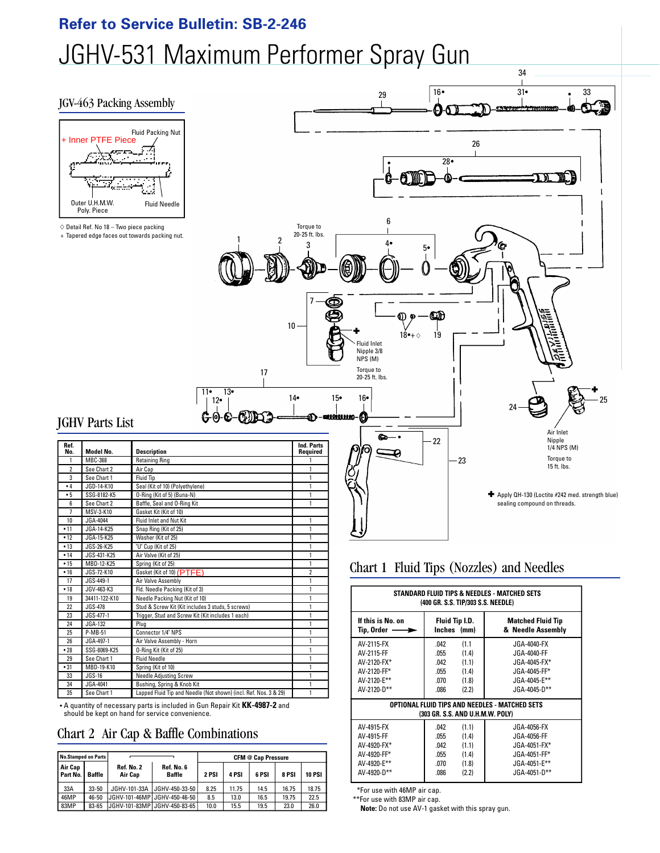# **Refer to Service Bulletin: SB-2-246** JGHV-531 Maximum Performer Spray Gun

#### JGV-463 Packing Assembly





# JGHV Parts List

|                | Inner PTFE Piece<br>Outer U.H.M.W.<br>Poly. Piece<br>$\diamond$ Detail Ref. No 18 - Two piece packing | Fluid Needle<br>+ Tapered edge faces out towards packing nut.<br>2                             | Torque to<br>20-25 ft. lbs<br>3<br>7 |
|----------------|-------------------------------------------------------------------------------------------------------|------------------------------------------------------------------------------------------------|--------------------------------------|
|                | <b>IGHV Parts List</b>                                                                                | 17<br>13∙<br>11•<br>12•<br>$\odot$ $\odot$ $\odot$                                             | 10<br>14•                            |
| Ref.           |                                                                                                       |                                                                                                | <b>Ind. Parts</b>                    |
| No.<br>1       | Model No.<br>MBC-368                                                                                  | <b>Description</b><br><b>Retaining Ring</b>                                                    | Required<br>1                        |
| $\overline{2}$ | See Chart 2                                                                                           | Air Cap                                                                                        | 1                                    |
| 3              | See Chart 1                                                                                           | <b>Fluid Tip</b>                                                                               | 1                                    |
| •4             | JGD-14-K10                                                                                            | Seal (Kit of 10) (Polyethylene)                                                                | 1                                    |
| •5             | SSG-8182-K5                                                                                           | O-Ring (Kit of 5) (Buna-N)                                                                     | 1                                    |
| 6              | See Chart 2                                                                                           | Baffle, Seal and O-Ring Kit                                                                    | 1                                    |
| $\overline{1}$ | MSV-3-K10                                                                                             | Gasket Kit (Kit of 10)                                                                         |                                      |
| 10             | JGA-4044                                                                                              | Fluid Inlet and Nut Kit                                                                        | 1                                    |
| • 11           | JGA-14-K25                                                                                            | Snap Ring (Kit of 25)                                                                          | 1                                    |
| •12            | JGA-15-K25                                                                                            | Washer (Kit of 25)                                                                             | 1                                    |
| • 13           | JGS-26-K25                                                                                            | "U" Cup (Kit of 25)                                                                            | 1                                    |
| • 14           | JGS-431-K25                                                                                           | Air Valve (Kit of 25)                                                                          | 1                                    |
| •15            | MBD-12-K25                                                                                            | Spring (Kit of 25)                                                                             | 1                                    |
| •16            | JGS-72-K10                                                                                            |                                                                                                | 2                                    |
| 17             | JGS-449-1                                                                                             | Gasket (Kit of 10) (PTFE)                                                                      | 1                                    |
|                |                                                                                                       | Air Valve Assembly                                                                             |                                      |
| • 18           | JGV-463-K3                                                                                            | Fld. Needle Packing (Kit of 3)                                                                 | 1                                    |
| 19             | 34411-122-K10                                                                                         | Needle Packing Nut (Kit of 10)                                                                 | 1                                    |
| 22             | JGS-478                                                                                               | Stud & Screw Kit (Kit includes 3 studs, 5 screws)                                              | 1                                    |
| 23             | JGS-477-1                                                                                             | Trigger, Stud and Screw Kit (Kit includes 1 each)                                              | 1                                    |
| 24             | JGA-132                                                                                               | Plug                                                                                           | 1                                    |
| 25             | P-MB-51                                                                                               | Connector 1/4" NPS                                                                             | 1                                    |
| 26             | JGA-497-1                                                                                             | Air Valve Assembly - Horn                                                                      | 1                                    |
| •28            | SSG-8069-K25                                                                                          | 0-Ring Kit (Kit of 25)                                                                         | 1                                    |
| 29             | See Chart 1                                                                                           | <b>Fluid Needle</b>                                                                            | 1                                    |
| •31            | MBD-19-K10                                                                                            | Spring (Kit of 10)                                                                             | 1                                    |
|                | JGS-16                                                                                                |                                                                                                | 1                                    |
| 33             |                                                                                                       | Needle Adjusting Screw                                                                         |                                      |
| 34<br>35       | JGA-4041<br>See Chart 1                                                                               | Bushing, Spring & Knob Kit<br>Lapped Fluid Tip and Needle (Not shown) (incl. Ref. Nos. 3 & 29) | 1<br>1                               |

• A quantity of necessary parts is included in Gun Repair Kit **KK-4987-2** and should be kept on hand for service convenience.

# Chart 2 Air Cap & Baffle Combinations

| No.Stamped on Parts     |               |                       | <b>CFM @ Cap Pressure</b>      |       |       |       |       |               |
|-------------------------|---------------|-----------------------|--------------------------------|-------|-------|-------|-------|---------------|
| l Air Cap<br>l Part No. | <b>Baffle</b> | Ref. No. 2<br>Air Cap | Ref. No. 6<br><b>Baffle</b>    | 2 PSI | 4 PSI | 6 PSI | 8 PSI | <b>10 PSI</b> |
| 33A                     | $33 - 50$     | JGHV-101-33A          | JGHV-450-33-50                 | 8.25  | 11.75 | 14.5  | 16.75 | 18.75         |
| 46MP                    | 46-50         |                       | JGHV-101-46MP   JGHV-450-46-50 | 8.5   | 13.0  | 16.5  | 19.75 | 22.5          |
| 83MP                    | 83-65         |                       | JGHV-101-83MP  JGHV-450-83-65  | 10.0  | 15.5  | 19.5  | 23.0  | 26.0          |

# Chart 1 Fluid Tips (Nozzles) and Needles

| STANDARD FLUID TIPS & NEEDLES - MATCHED SETS<br>(400 GR. S.S. TIP/303 S.S. NEEDLE)                                   |                                                                                                    |                                                                                                    |  |  |
|----------------------------------------------------------------------------------------------------------------------|----------------------------------------------------------------------------------------------------|----------------------------------------------------------------------------------------------------|--|--|
| If this is No. on<br>Fluid Tip I.D.<br><b>Matched Fluid Tip</b><br>Inches (mm)<br>Tip, Order  —<br>& Needle Assembly |                                                                                                    |                                                                                                    |  |  |
| AV-2115-FX<br>AV-2115-FF<br>AV-2120-FX*<br>AV-2120-FF*<br>AV-2120-E**<br>AV-2120-D**                                 | .042<br>(1.1)<br>.055<br>(1.4)<br>(1.1)<br>.042<br>.055<br>(1.4)<br>.070<br>(1.8)<br>.086<br>(2.2) | JGA-4040-FX<br>JGA-4040-FF<br>JGA-4045-FX*<br>JGA-4045-FF*<br>JGA-4045-E**<br>$JGA-4045-D***$      |  |  |
| OPTIONAL FLUID TIPS AND NEEDLES - MATCHED SETS<br>(303 GR. S.S. AND U.H.M.W. POLY)                                   |                                                                                                    |                                                                                                    |  |  |
| AV-4915-FX<br>AV-4915-FF<br>AV-4920-FX*<br>AV-4920-FF*<br>AV-4920-E**<br>AV-4920-D**                                 | .042<br>(1.1)<br>.055<br>(1.4)<br>.042<br>(1.1)<br>.055<br>(1.4)<br>.070<br>(1.8)<br>.086<br>(2.2) | JGA-4056-FX<br>JGA-4056-FF<br>$JGA-4051-FX*$<br>JGA-4051-FF*<br>$JGA-4051-E***$<br>$JGA-4051-D***$ |  |  |

\*For use with 46MP air cap. \*\*For use with 83MP air cap.

**Note:** Do not use AV-1 gasket with this spray gun.